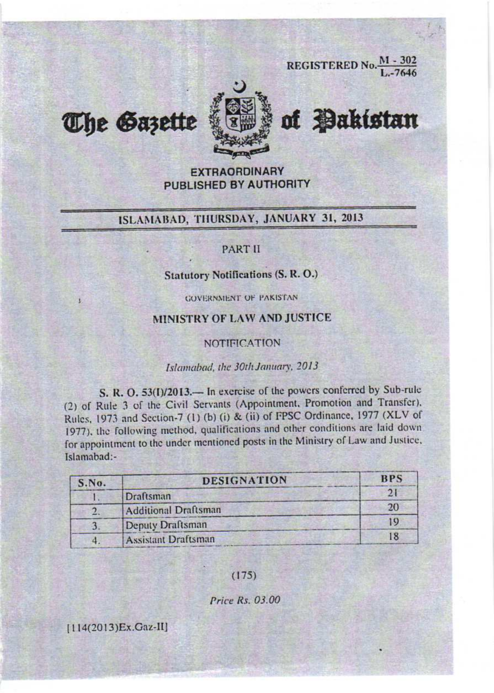**REGISTERED No.**  $\frac{M - 302}{L - 7646}$ 



of **Pakistan** 

#### **EXTRAORDINARY PUBLISHED BY AUTHORITY**

## ISLAMABAD, THURSDAY, JANUARY 31, 2013

#### **PART II**

### **Statutory Notifications (S. R. O.)**

**GOVERNMENT OF PAKISTAN** 

#### MINISTRY OF LAW AND JUSTICE

**NOTIFICATION** 

#### Islamabad, the 30th January, 2013

S. R. O. 53(I)/2013.— In exercise of the powers conferred by Sub-rule (2) of Rule 3 of the Civil Servants (Appointment, Promotion and Transfer), Rules, 1973 and Section-7 (1) (b) (i) & (ii) of FPSC Ordinance, 1977 (XLV of 1977), the following method, qualifications and other conditions are laid down. for appointment to the under mentioned posts in the Ministry of Law and Justice, Islamabad:-

| S.No. | <b>DESIGNATION</b>         | <b>BPS</b>    |
|-------|----------------------------|---------------|
|       | Draftsman                  | $\mathcal{D}$ |
|       | Additional Draftsman       | 20            |
|       | Deputy Draftsman           | 19            |
|       | <b>Assistant Draftsman</b> | 18            |

 $(175)$ 

Price Rs. 03.00

[114(2013)Ex.Gaz-II]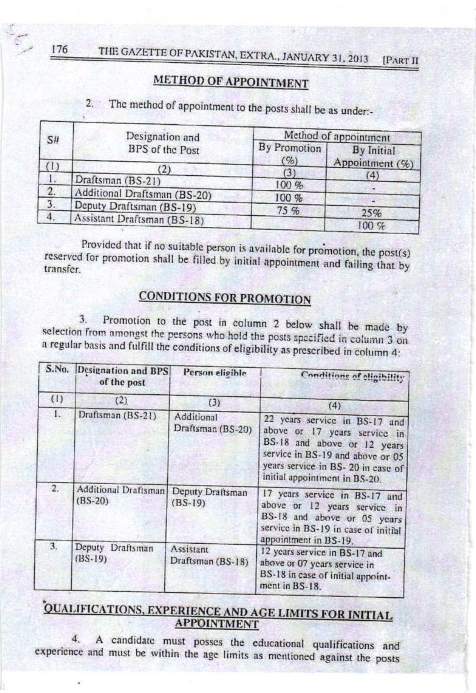# METHOD OF APPOINTMENT

The method of appointment to the posts shall be as under:- $2.7$ 

| S#  | Designation and              | Method of appointment  |                                      |  |
|-----|------------------------------|------------------------|--------------------------------------|--|
|     | BPS of the Post              | By Promotion<br>$($ %) | <b>By Initial</b><br>Appointment (%) |  |
| (1) | (2)                          | $\left(3\right)$       | (4)                                  |  |
|     | Draftsman (BS-21)            | 100%                   |                                      |  |
| 2.  | Additional Draftsman (BS-20) | 100 %                  |                                      |  |
| 3.  | Deputy Draftsman (BS-19)     | 75%                    | 25%                                  |  |
| 4.  | Assistant Draftsman (BS-18)  |                        | 100%                                 |  |

Provided that if no suitable person is available for promotion, the post(s) reserved for promotion shall be filled by initial appointment and failing that by transfer.

## **CONDITIONS FOR PROMOTION**

Promotion to the post in column 2 below shall be made by  $3.$ selection from amongst the persons who hold the posts specified in column 3 on a regular basis and fulfill the conditions of eligibility as prescribed in column 4:

|                  | S.No. Designation and BPS<br>of the post | Person eligible                 | Conditions of eligibility                                                                                                                                                                               |  |  |
|------------------|------------------------------------------|---------------------------------|---------------------------------------------------------------------------------------------------------------------------------------------------------------------------------------------------------|--|--|
| (1)              | (2)                                      | (3)                             | (4)                                                                                                                                                                                                     |  |  |
| $\mathbf{I}$ .   | Draftsman (BS-21)                        | Additional<br>Draftsman (BS-20) | 22 years service in BS-17 and<br>above or 17 years service in<br>BS-18 and above or 12 years<br>service in BS-19 and above or 05<br>years service in BS- 20 in case of<br>initial appointment in BS-20. |  |  |
| $\overline{2}$ . | Additional Draftsman<br>$(BS-20)$        | Deputy Draftsman<br>$(BS-19)$   | 17 years service in BS-17 and<br>above or 12 years service in<br>BS-18 and above or 05 years<br>service in BS-19 in case of initial<br>appointment in BS-19.                                            |  |  |
| 3.               | Deputy Draftsman<br>$(BS-19)$            | Assistant<br>Draftsman (BS-18)  | 12 years service in BS-17 and<br>above or 07 years service in<br>BS-18 in case of initial appoint-<br>ment in BS-18.                                                                                    |  |  |

# QUALIFICATIONS, EXPERIENCE AND AGE LIMITS FOR INITIAL **APPOINTMENT**

 $\overline{4}$ A candidate must posses the educational qualifications and experience and must be within the age limits as mentioned against the posts

176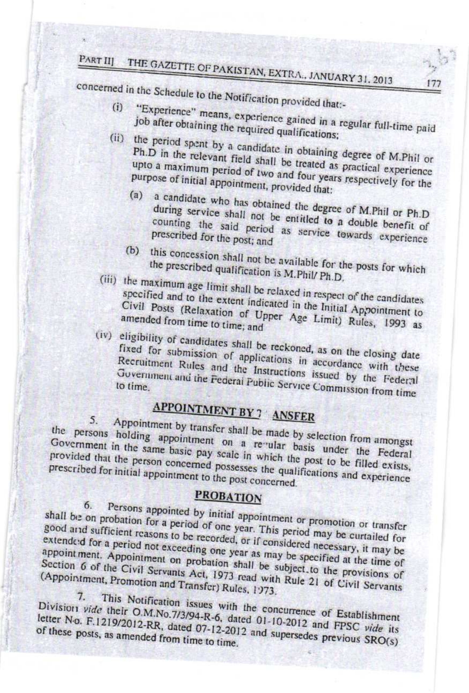# PART III THE GAZETTE OF PAKISTAN, EXTRA., JANUARY 31, 2013

concerned in the Schedule to the Notification provided that:-

- "Experience" means, experience gained in a regular full-time paid job after obtaining the required qualifications;
- (ii) the period spent by a candidate in obtaining degree of M.Phil or Ph.D in the relevant field shall be treated as practical experience upto a maximum period of two and four years respectively for the
	- purpose of initial appointment, provided that: a candidate who has obtained the degree of M.Phil or Ph.D  $(a)$ during service shall not be entitled to a double benefit of counting the said period as service towards experience prescribed for the post; and
	- (b) this concession shall not be available for the posts for which the prescribed qualification is M.Phil/ Ph.D.
- (iii) the maximum age limit shall be relaxed in respect of the candidates specified and to the extent indicated in the Initial Appointment to Civil Posts (Relaxation of Upper Age Limit) Rules, 1993 as amended from time to time; and

(iv) eligibility of candidates shall be reckoned, as on the closing date fixed for submission of applications in accordance with these Recruitment Rules and the Instructions issued by the Federal Government and the Federal Public Service Commission from time to time.

# APPOINTMENT BY 7 ANSFER

Appointment by transfer shall be made by selection from amongst 5. the persons holding appointment on a revular basis under the Federal Government in the same basic pay scale in which the post to be filled exists, provided that the person concerned possesses the qualifications and experience prescribed for initial appointment to the post concerned.

# **PROBATION**

Persons appointed by initial appointment or promotion or transfer 6. shall be on probation for a period of one year. This period may be curtailed for good and sufficient reasons to be recorded, or if considered necessary, it may be extendeed for a period not exceeding one year as may be specified at the time of appointment. Appointment on probation shall be subject to the provisions of Section 6 of the Civil Servants Act, 1973 read with Rule 21 of Civil Servants (Appointment, Promotion and Transfer) Rules, 1973.

This Notification issues with the concurrence of Establishment  $7<sup>1</sup>$ Division vide their O.M.No.7/3/94-R-6, dated 01-10-2012 and FPSC vide its letter No. F.1219/2012-RR, dated 07-12-2012 and supersedes previous SRO(s) of these posts, as amended from time to time.

177